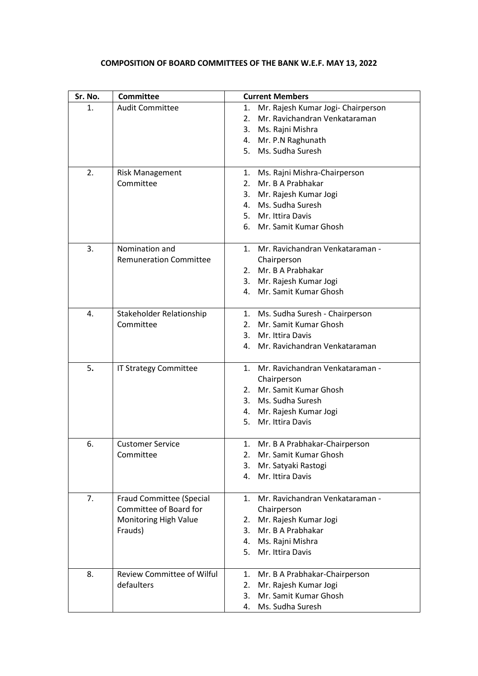## **COMPOSITION OF BOARD COMMITTEES OF THE BANK W.E.F. MAY 13, 2022**

| Sr. No. | <b>Committee</b>              | <b>Current Members</b>                   |  |
|---------|-------------------------------|------------------------------------------|--|
| 1.      | <b>Audit Committee</b>        | Mr. Rajesh Kumar Jogi- Chairperson<br>1. |  |
|         |                               | Mr. Ravichandran Venkataraman<br>2.      |  |
|         |                               | Ms. Rajni Mishra<br>3.                   |  |
|         |                               | 4. Mr. P.N Raghunath                     |  |
|         |                               | 5. Ms. Sudha Suresh                      |  |
|         |                               |                                          |  |
| 2.      | <b>Risk Management</b>        | Ms. Rajni Mishra-Chairperson<br>1.       |  |
|         | Committee                     | Mr. B A Prabhakar<br>2.                  |  |
|         |                               | 3. Mr. Rajesh Kumar Jogi                 |  |
|         |                               | 4. Ms. Sudha Suresh                      |  |
|         |                               | 5. Mr. Ittira Davis                      |  |
|         |                               | 6. Mr. Samit Kumar Ghosh                 |  |
| 3.      | Nomination and                | Mr. Ravichandran Venkataraman -<br>1.    |  |
|         | <b>Remuneration Committee</b> | Chairperson                              |  |
|         |                               | 2. Mr. B A Prabhakar                     |  |
|         |                               | 3. Mr. Rajesh Kumar Jogi                 |  |
|         |                               | Mr. Samit Kumar Ghosh<br>4.              |  |
|         |                               |                                          |  |
| 4.      | Stakeholder Relationship      | 1. Ms. Sudha Suresh - Chairperson        |  |
|         | Committee                     | 2. Mr. Samit Kumar Ghosh                 |  |
|         |                               | 3. Mr. Ittira Davis                      |  |
|         |                               | 4. Mr. Ravichandran Venkataraman         |  |
| 5.      | IT Strategy Committee         | 1. Mr. Ravichandran Venkataraman -       |  |
|         |                               | Chairperson                              |  |
|         |                               | 2. Mr. Samit Kumar Ghosh                 |  |
|         |                               | 3. Ms. Sudha Suresh                      |  |
|         |                               | 4. Mr. Rajesh Kumar Jogi                 |  |
|         |                               | Mr. Ittira Davis<br>5.                   |  |
| 6.      | <b>Customer Service</b>       | Mr. B A Prabhakar-Chairperson<br>1.      |  |
|         | Committee                     | Mr. Samit Kumar Ghosh<br>2.              |  |
|         |                               | 3.<br>Mr. Satyaki Rastogi                |  |
|         |                               | 4.<br>Mr. Ittira Davis                   |  |
| 7.      | Fraud Committee (Special      | Mr. Ravichandran Venkataraman -<br>1.    |  |
|         | Committee of Board for        | Chairperson                              |  |
|         | Monitoring High Value         | Mr. Rajesh Kumar Jogi<br>2.              |  |
|         | Frauds)                       | Mr. B A Prabhakar<br>3.                  |  |
|         |                               | 4. Ms. Rajni Mishra                      |  |
|         |                               | 5.<br>Mr. Ittira Davis                   |  |
|         |                               |                                          |  |
| 8.      | Review Committee of Wilful    | Mr. B A Prabhakar-Chairperson<br>1.      |  |
|         | defaulters                    | Mr. Rajesh Kumar Jogi<br>2.              |  |
|         |                               | Mr. Samit Kumar Ghosh<br>3.              |  |
|         |                               | Ms. Sudha Suresh<br>4.                   |  |